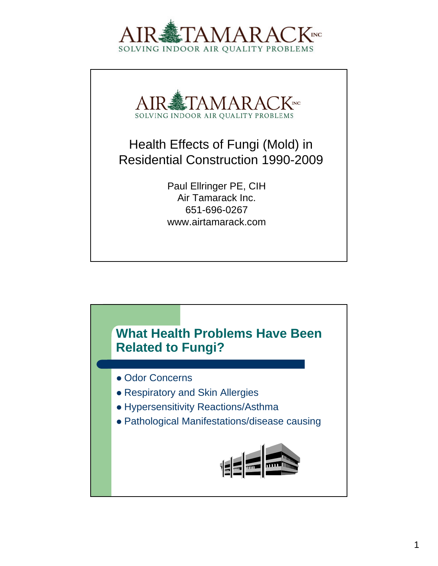



Health Effects of Fungi (Mold) in Residential Construction 1990-2009

> Paul Ellringer PE, CIH Air Tamarack Inc. 651-696-0267 www.airtamarack.com

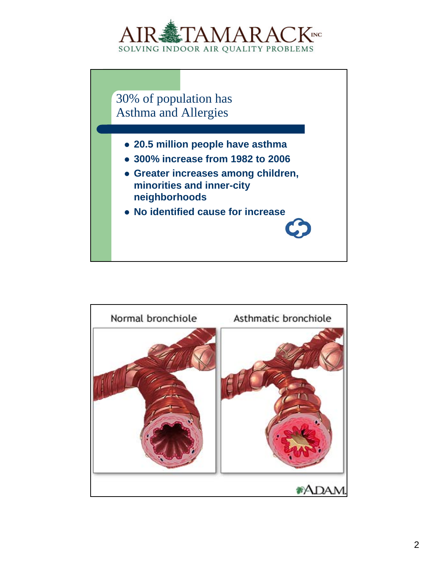

# 30% of population has Asthma and Allergies

- **20.5 million people have asthma**
- **300% increase from 1982 to 2006**
- **Greater increases among children, minorities and inner-city neighborhoods**
- **No identified cause for increase**

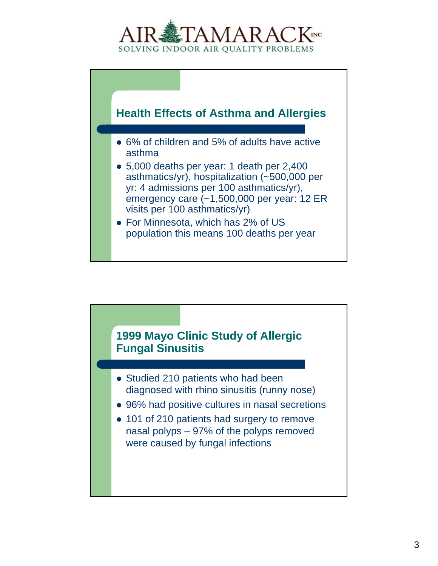



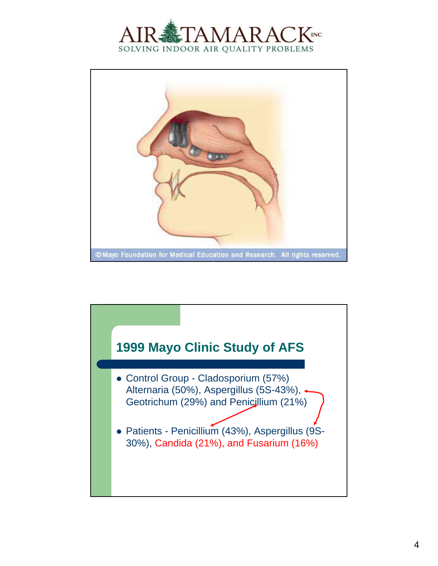



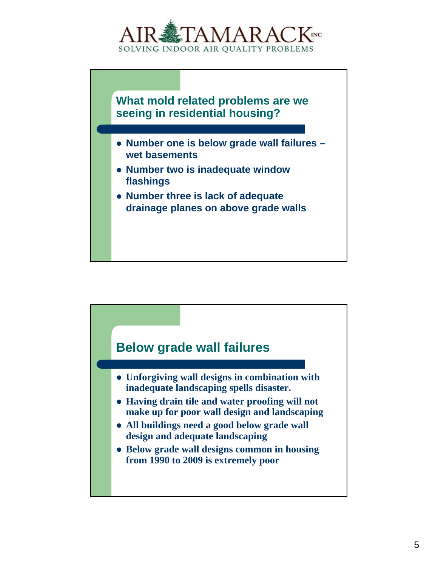

## **What mold related problems are we seeing in residential housing?**

- **Number one is below grade wall failures – wet basements**
- **Number two is inadequate window flashings**
- **Number three is lack of adequate drainage planes on above grade walls**

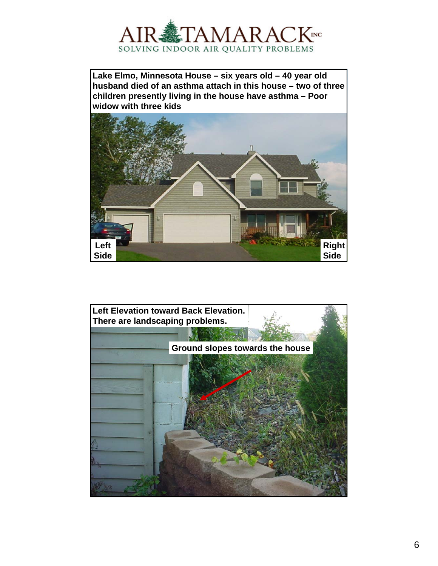

**Lake Elmo, Minnesota House – six years old – 40 year old husband died of an asthma attach in this house – two of three children presently living in the house have asthma – Poor widow with three kids**



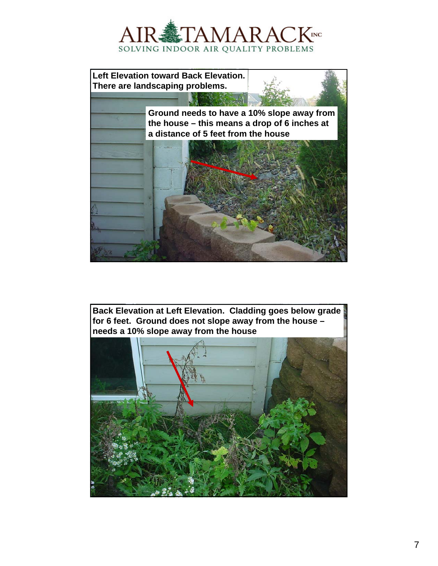



**Back Elevation at Left Elevation. Cladding goes below grade for 6 feet. Ground does not slope away from the house – needs a 10% slope away from the house**

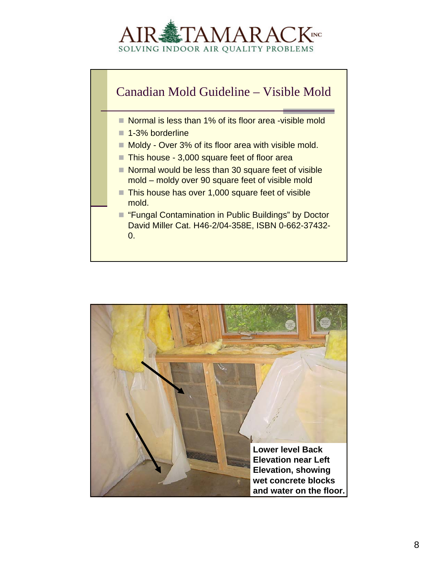

# Canadian Mold Guideline – Visible Mold  $\blacksquare$  Normal is less than 1% of its floor area -visible mold

- 1-3% borderline
- **Moldy Over 3% of its floor area with visible mold.**
- $\blacksquare$  This house 3,000 square feet of floor area
- $\blacksquare$  Normal would be less than 30 square feet of visible mold – moldy over 90 square feet of visible mold
- $\blacksquare$  This house has over 1,000 square feet of visible mold.
- "Fungal Contamination in Public Buildings" by Doctor David Miller Cat. H46-2/04-358E, ISBN 0-662-37432- 0.

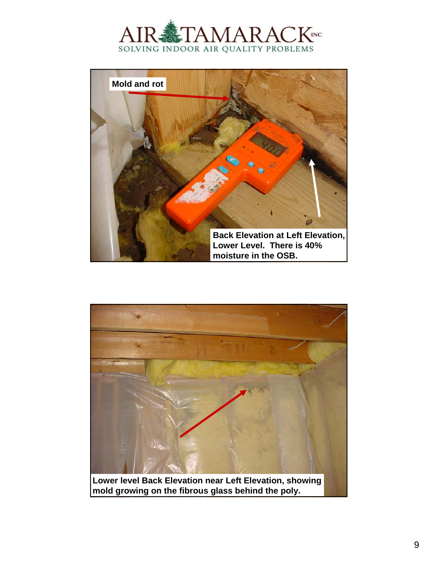



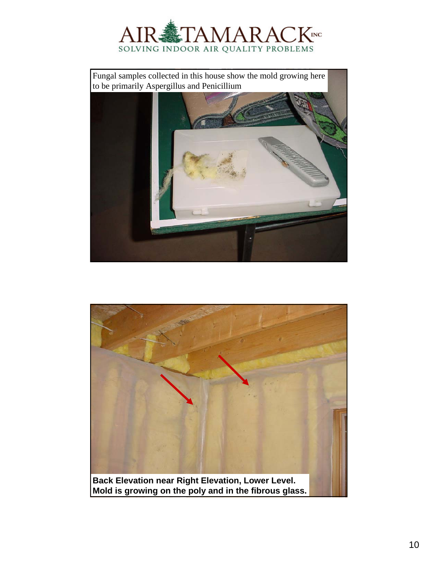

Fungal samples collected in this house show the mold growing here to be primarily Aspergillus and Penicillium



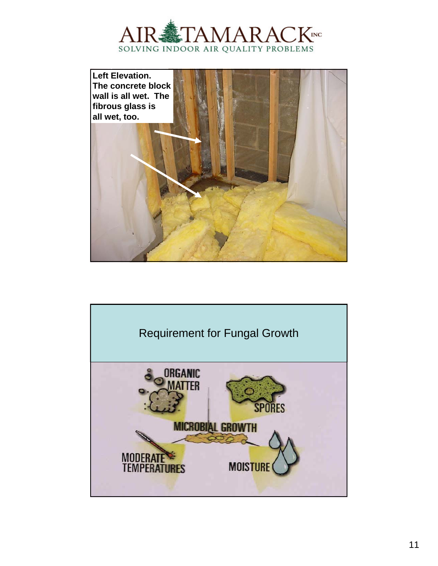



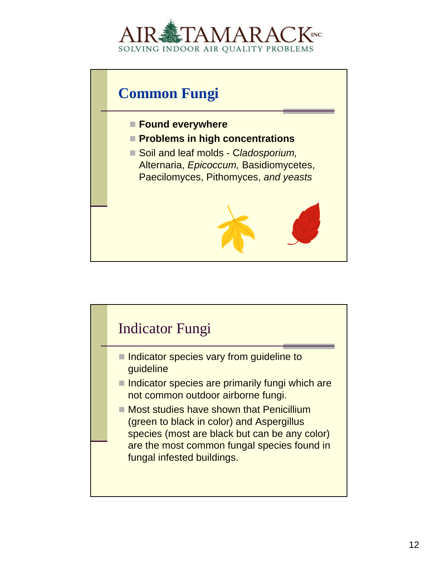



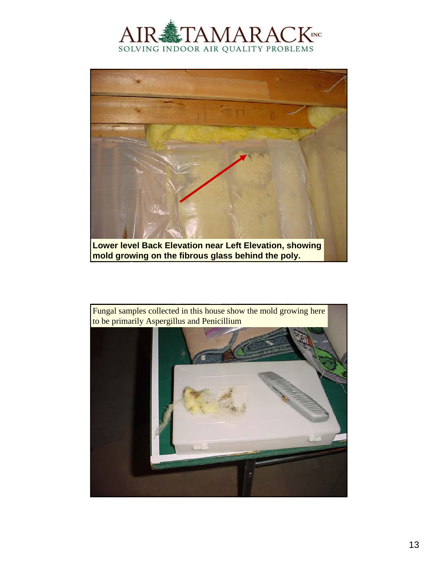



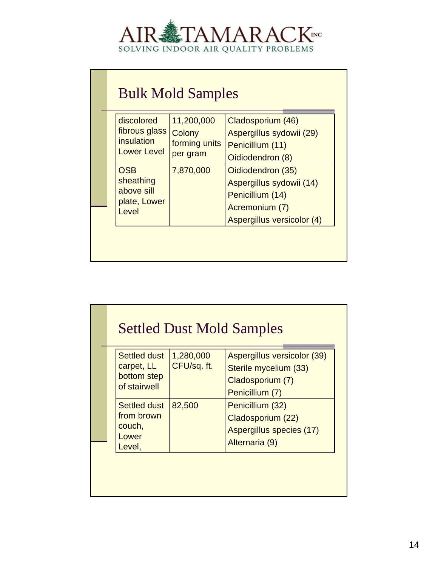

| discolored                                                     | 11,200,000                | Cladosporium (46)          |
|----------------------------------------------------------------|---------------------------|----------------------------|
| fibrous glass<br>insulation<br><b>Lower Level</b>              | Colony                    | Aspergillus sydowii (29)   |
|                                                                | forming units<br>per gram | Penicillium (11)           |
|                                                                |                           | Oidiodendron (8)           |
| <b>OSB</b><br>sheathing<br>above sill<br>plate, Lower<br>Level | 7,870,000                 | Oidiodendron (35)          |
|                                                                |                           |                            |
|                                                                |                           | Aspergillus sydowii (14)   |
|                                                                |                           | Penicillium (14)           |
|                                                                |                           | Acremonium (7)             |
|                                                                |                           | Aspergillus versicolor (4) |

| <b>Settled dust</b><br>Aspergillus versicolor (39)<br>1,280,000<br>CFU/sq. ft.<br>carpet, LL<br>Sterile mycelium (33)<br>bottom step<br>Cladosporium (7)<br>of stairwell<br>Penicillium (7)<br><b>Settled dust</b><br>82,500<br>Penicillium (32) |  |
|--------------------------------------------------------------------------------------------------------------------------------------------------------------------------------------------------------------------------------------------------|--|
|                                                                                                                                                                                                                                                  |  |
| from brown<br>Cladosporium (22)<br>couch,<br>Aspergillus species (17)<br>Lower<br>Alternaria (9)<br>Level,                                                                                                                                       |  |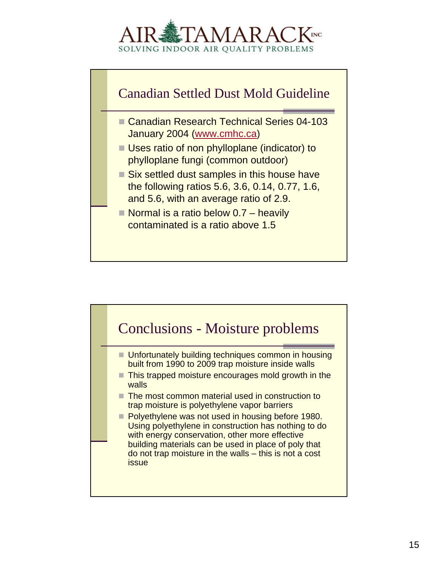



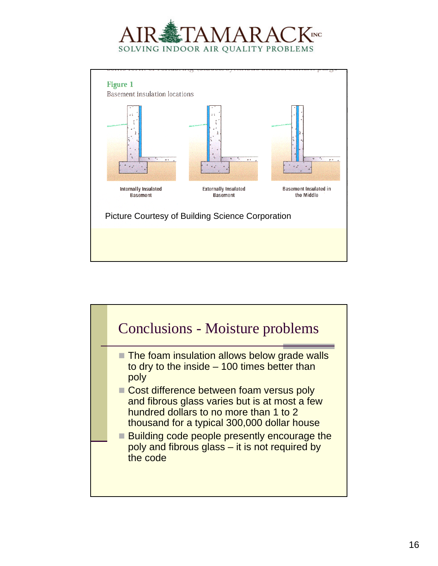



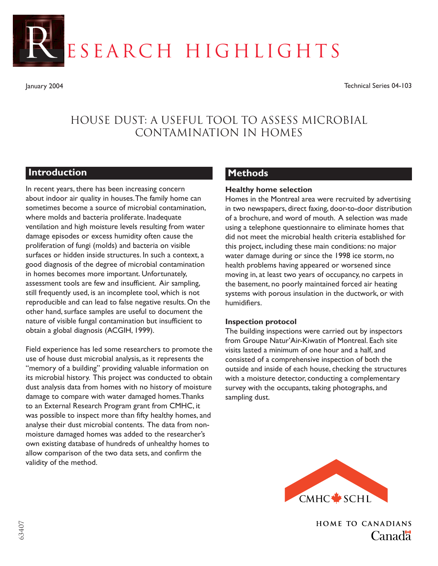ESEARCH HIGHLIGHTS

January 2004

R

Technical Series 04-103

# house dust: a useful tool to assess microbial contamination in homes

## **Introduction**

In recent years, there has been increasing concern about indoor air quality in houses. The family home can sometimes become a source of microbial contamination, where molds and bacteria proliferate. Inadequate ventilation and high moisture levels resulting from water damage episodes or excess humidity often cause the proliferation of fungi (molds) and bacteria on visible surfaces or hidden inside structures. In such a context, a good diagnosis of the degree of microbial contamination in homes becomes more important. Unfortunately, assessment tools are few and insufficient. Air sampling, still frequently used, is an incomplete tool, which is not reproducible and can lead to false negative results. On the other hand, surface samples are useful to document the nature of visible fungal contamination but insufficient to obtain a global diagnosis (ACGIH, 1999).

Field experience has led some researchers to promote the use of house dust microbial analysis, as it represents the "memory of a building" providing valuable information on its microbial history. This project was conducted to obtain dust analysis data from homes with no history of moisture damage to compare with water damaged homes. Thanks to an External Research Program grant from CMHC, it was possible to inspect more than fifty healthy homes, and analyse their dust microbial contents. The data from nonmoisture damaged homes was added to the researcher's own existing database of hundreds of unhealthy homes to allow comparison of the two data sets, and confirm the validity of the method.

## **Methods**

## **Healthy home selection**

Homes in the Montreal area were recruited by advertising in two newspapers, direct faxing, door-to-door distribution of a brochure, and word of mouth. A selection was made using a telephone questionnaire to eliminate homes that did not meet the microbial health criteria established for this project, including these main conditions: no major water damage during or since the 1998 ice storm, no health problems having appeared or worsened since moving in, at least two years of occupancy, no carpets in the basement, no poorly maintained forced air heating systems with porous insulation in the ductwork, or with humidifiers.

## **Inspection protocol**

The building inspections were carried out by inspectors from Groupe Natur'Air-Kiwatin of Montreal. Each site visits lasted a minimum of one hour and a half, and consisted of a comprehensive inspection of both the outside and inside of each house, checking the structures with a moisture detector, conducting a complementary survey with the occupants, taking photographs, and sampling dust.



**HOME TO CANADIANS** Canad<sup>"</sup>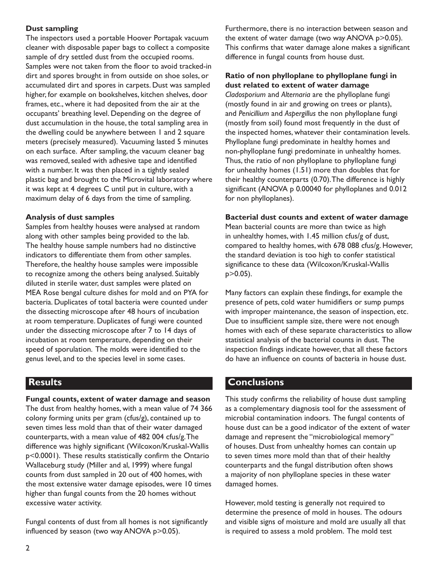## **Dust sampling**

The inspectors used a portable Hoover Portapak vacuum cleaner with disposable paper bags to collect a composite sample of dry settled dust from the occupied rooms. Samples were not taken from the floor to avoid tracked-in dirt and spores brought in from outside on shoe soles, or accumulated dirt and spores in carpets. Dust was sampled higher, for example on bookshelves, kitchen shelves, door frames, etc., where it had deposited from the air at the occupants' breathing level. Depending on the degree of dust accumulation in the house, the total sampling area in the dwelling could be anywhere between 1 and 2 square meters (precisely measured). Vacuuming lasted 5 minutes on each surface. After sampling, the vacuum cleaner bag was removed, sealed with adhesive tape and identified with a number. It was then placed in a tightly sealed plastic bag and brought to the Microvital laboratory where it was kept at 4 degrees C until put in culture, with a maximum delay of 6 days from the time of sampling.

## **Analysis of dust samples**

Samples from healthy houses were analysed at random along with other samples being provided to the lab. The healthy house sample numbers had no distinctive indicators to differentiate them from other samples. Therefore, the healthy house samples were impossible to recognize among the others being analysed. Suitably diluted in sterile water, dust samples were plated on MEA Rose bengal culture dishes for mold and on PYA for bacteria. Duplicates of total bacteria were counted under the dissecting microscope after 48 hours of incubation at room temperature. Duplicates of fungi were counted under the dissecting microscope after 7 to 14 days of incubation at room temperature, depending on their speed of sporulation. The molds were identified to the genus level, and to the species level in some cases.

## **Results**

**Fungal counts, extent of water damage and season** The dust from healthy homes, with a mean value of 74 366 colony forming units per gram (cfus/g), contained up to seven times less mold than that of their water damaged counterparts, with a mean value of 482 004 cfus/g. The difference was highly significant (Wilcoxon/Kruskal-Wallis p<0.0001). These results statistically confirm the Ontario Wallaceburg study (Miller and al, 1999) where fungal counts from dust sampled in 20 out of 400 homes, with the most extensive water damage episodes, were 10 times higher than fungal counts from the 20 homes without excessive water activity.

Fungal contents of dust from all homes is not significantly influenced by season (two way ANOVA p>0.05).

Furthermore, there is no interaction between season and the extent of water damage (two way ANOVA p>0.05). This confirms that water damage alone makes a significant difference in fungal counts from house dust.

## **Ratio of non phylloplane to phylloplane fungi in dust related to extent of water damage**

*Cladosporium* and *Alternaria* are the phylloplane fungi (mostly found in air and growing on trees or plants), and *Penicillium* and *Aspergillus* the non phylloplane fungi (mostly from soil) found most frequently in the dust of the inspected homes, whatever their contamination levels. Phylloplane fungi predominate in healthy homes and non-phylloplane fungi predominate in unhealthy homes. Thus, the ratio of non phylloplane to phylloplane fungi for unhealthy homes (1.51) more than doubles that for their healthy counterparts (0.70). The difference is highly significant (ANOVA p 0.00040 for phylloplanes and 0.012 for non phylloplanes).

## **Bacterial dust counts and extent of water damage**

Mean bacterial counts are more than twice as high in unhealthy homes, with 1.45 million cfus/g of dust, compared to healthy homes, with 678 088 cfus/g. However, the standard deviation is too high to confer statistical significance to these data (Wilcoxon/Kruskal-Wallis  $p > 0.05$ ).

Many factors can explain these findings, for example the presence of pets, cold water humidifiers or sump pumps with improper maintenance, the season of inspection, etc. Due to insufficient sample size, there were not enough homes with each of these separate characteristics to allow statistical analysis of the bacterial counts in dust. The inspection findings indicate however, that all these factors do have an influence on counts of bacteria in house dust.

## **Conclusions**

This study confirms the reliability of house dust sampling as a complementary diagnosis tool for the assessment of microbial contamination indoors. The fungal contents of house dust can be a good indicator of the extent of water damage and represent the "microbiological memory" of houses. Dust from unhealthy homes can contain up to seven times more mold than that of their healthy counterparts and the fungal distribution often shows a majority of non phylloplane species in these water damaged homes.

However, mold testing is generally not required to determine the presence of mold in houses. The odours and visible signs of moisture and mold are usually all that is required to assess a mold problem. The mold test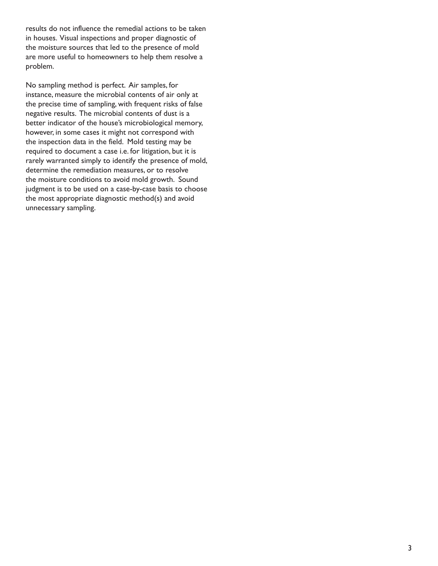results do not influence the remedial actions to be taken in houses. Visual inspections and proper diagnostic of the moisture sources that led to the presence of mold are more useful to homeowners to help them resolve a problem.

No sampling method is perfect. Air samples, for instance, measure the microbial contents of air only at the precise time of sampling, with frequent risks of false negative results. The microbial contents of dust is a better indicator of the house's microbiological memory, however, in some cases it might not correspond with the inspection data in the field. Mold testing may be required to document a case i.e. for litigation, but it is rarely warranted simply to identify the presence of mold, determine the remediation measures, or to resolve the moisture conditions to avoid mold growth. Sound judgment is to be used on a case-by-case basis to choose the most appropriate diagnostic method(s) and avoid unnecessary sampling.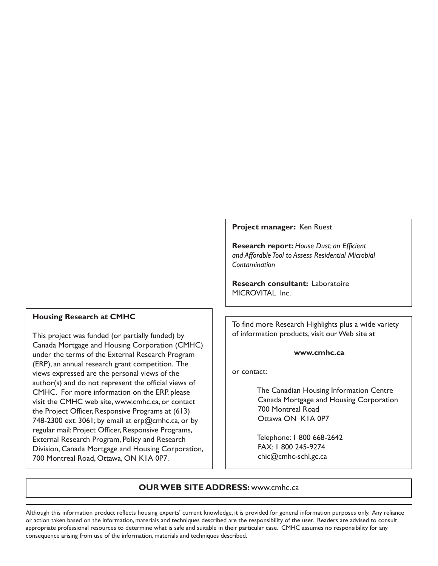#### **Project manager:** Ken Ruest

**Research report:** *House Dust: an Efficient and Affordble Tool to Assess Residential Microbial Contamination*

**Research consultant:** Laboratoire MICROVITAL Inc.

## **Housing Research at CMHC**

This project was funded (or partially funded) by Canada Mortgage and Housing Corporation (CMHC) under the terms of the External Research Program (ERP), an annual research grant competition. The views expressed are the personal views of the author(s) and do not represent the official views of CMHC. For more information on the ERP, please visit the CMHC web site, www.cmhc.ca, or contact the Project Officer, Responsive Programs at (613) 748-2300 ext. 3061; by email at  $erp@cmhc.ca,$  or by regular mail: Project Officer, Responsive Programs, External Research Program, Policy and Research Division, Canada Mortgage and Housing Corporation, 700 Montreal Road, Ottawa, ON K1A 0P7.

To find more Research Highlights plus a wide variety of information products, visit our Web site at

#### **www.cmhc.ca**

or contact:

 The Canadian Housing Information Centre Canada Mortgage and Housing Corporation 700 Montreal Road Ottawa ON K1A 0P7

 Telephone: 1 800 668-2642 FAX: 1 800 245-9274 chic@cmhc-schl.gc.ca

## **OUR WEB SITE ADDRESS:** www.cmhc.ca

Although this information product reflects housing experts' current knowledge, it is provided for general information purposes only. Any reliance or action taken based on the information, materials and techniques described are the responsibility of the user. Readers are advised to consult appropriate professional resources to determine what is safe and suitable in their particular case. CMHC assumes no responsibility for any consequence arising from use of the information, materials and techniques described.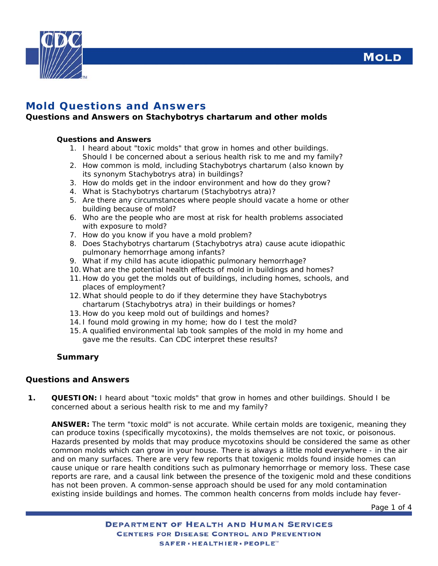

<span id="page-20-0"></span>

## **Mold Questions and Answers**

## **Questions and Answers on** *Stachybotrys chartarum* **and other molds**

## **[Questions and Answers](#page-20-0)**

- 1. I heard about ["toxic molds" that grow in homes and other buildings.](#page-20-0) Should I be concerned [about a serious health risk to me and my family?](#page-20-0)
- 2. [How common is mold,](#page-21-0) including *Stachybotrys chartarum* (also known by its synonym [Stachybotrys](#page-21-0) atra) in buildings?
- 3. [How do molds get in the indoor environment and how do they grow?](#page-21-0)
- 4. What is *[Stachybotrys chartarum](#page-21-0)* (*Stachybotrys atra*)?
- 5. [Are there any circumstances where people should vacate a home or other](#page-21-0)  [building because of mold?](#page-21-0)
- 6. [Who are the people who are most at risk for health problems associated](#page-21-0)  [with exposure to mold?](#page-21-0)
- 7. How do you know if [you have a mold problem?](#page-22-0)
- 8. Does *Stachybotrys chartarum* (*Stachybotrys atra*) cause acute idiopathic [pulmonary hemorrhage among infants?](#page-22-0)
- 9. What if my [child has acute idiopathic pulmonary hemorrhage?](#page-22-0)
- 10.[What are the potential health effects of mold in buildings and homes?](#page-22-0)
- 11. [How do you get the molds out of buildings, including homes, schools, and](#page-22-0)  [places of employment?](#page-22-0)
- 12.[What should people to do if they determine they have](#page-22-0)  *Stachybotrys* chartarum (Stachybotrys atra) in their buildings or homes?
- 13. [How do you keep mold out of buildings and homes?](#page-23-0)
- 14. [I found mold growing in my home; how do I test the mold?](#page-23-0)
- 15.[A qualified environmental lab took samples of the mold in](#page-23-0) my home and [gave me the results. Can CDC interpret these results?](#page-23-0)

## **[Summary](#page-23-0)**

## **Questions and Answers**

**1. QUESTION:** I heard about "toxic molds" that grow in homes and other buildings. Should I be concerned about a serious health risk to me and my family?

**ANSWER:** The term "toxic mold" is not accurate. While certain molds are toxigenic, meaning they can produce toxins (specifically mycotoxins), the molds themselves are not toxic, or poisonous. Hazards presented by molds that may produce mycotoxins should be considered the same as other common molds which can grow in your house. There is always a little mold everywhere - in the air and on many surfaces. There are very few reports that toxigenic molds found inside homes can cause unique or rare health conditions such as pulmonary hemorrhage or memory loss. These case reports are rare, and a causal link between the presence of the toxigenic mold and these conditions has not been proven. A common-sense approach should be used for any mold contamination existing inside buildings and homes. The common health concerns from molds include hay fever-

Page 1 of 4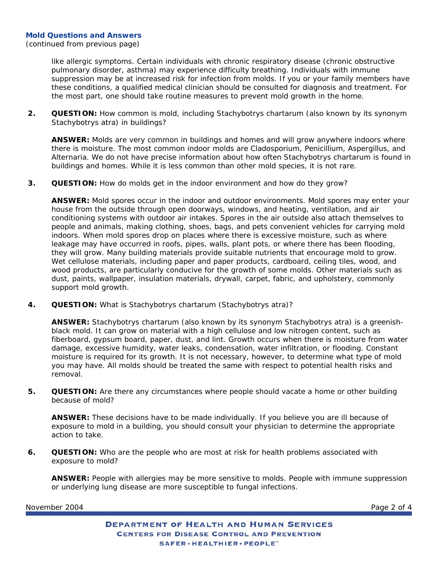<span id="page-21-0"></span>like allergic symptoms. Certain individuals with chronic respiratory disease (chronic obstructive pulmonary disorder, asthma) may experience difficulty breathing. Individuals with immune suppression may be at increased risk for infection from molds. If you or your family members have these conditions, a qualified medical clinician should be consulted for diagnosis and treatment. For the most part, one should take routine measures to prevent mold growth in the home.

**2. QUESTION:** How common is mold, including *Stachybotrys chartarum* (also known by its synonym *Stachybotrys atra*) in buildings?

**ANSWER:** Molds are very common in buildings and homes and will grow anywhere indoors where there is moisture. The most common indoor molds are *Cladosporium*, *Penicillium*, *Aspergillus*, and *Alternari*a. We do not have precise information about how often *Stachybotrys chartarum* is found in buildings and homes. While it is less common than other mold species, it is not rare.

**3. QUESTION:** How do molds get in the indoor environment and how do they grow?

**ANSWER:** Mold spores occur in the indoor and outdoor environments. Mold spores may enter your house from the outside through open doorways, windows, and heating, ventilation, and air conditioning systems with outdoor air intakes. Spores in the air outside also attach themselves to people and animals, making clothing, shoes, bags, and pets convenient vehicles for carrying mold indoors. When mold spores drop on places where there is excessive moisture, such as where leakage may have occurred in roofs, pipes, walls, plant pots, or where there has been flooding, they will grow. Many building materials provide suitable nutrients that encourage mold to grow. Wet cellulose materials, including paper and paper products, cardboard, ceiling tiles, wood, and wood products, are particularly conducive for the growth of some molds. Other materials such as dust, paints, wallpaper, insulation materials, drywall, carpet, fabric, and upholstery, commonly support mold growth.

**4. QUESTION:** What is *Stachybotrys chartarum* (*Stachybotrys atra*)?

**ANSWER:** *Stachybotrys chartarum* (also known by its synonym *Stachybotrys atra*) is a greenishblack mold. It can grow on material with a high cellulose and low nitrogen content, such as fiberboard, gypsum board, paper, dust, and lint. Growth occurs when there is moisture from water damage, excessive humidity, water leaks, condensation, water infiltration, or flooding. Constant moisture is required for its growth. It is not necessary, however, to determine what type of mold you may have. All molds should be treated the same with respect to potential health risks and removal.

**5. QUESTION:** Are there any circumstances where people should vacate a home or other building because of mold?

**ANSWER:** These decisions have to be made individually. If you believe you are ill because of exposure to mold in a building, you should consult your physician to determine the appropriate action to take.

**6. QUESTION:** Who are the people who are most at risk for health problems associated with exposure to mold?

**ANSWER:** People with allergies may be more sensitive to molds. People with immune suppression or underlying lung disease are more susceptible to fungal infections.

November 2004 **Page 2 of 4**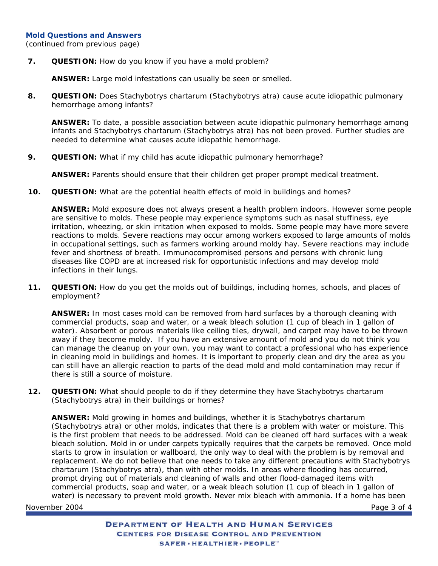<span id="page-22-0"></span>**7. QUESTION:** How do you know if you have a mold problem?

**ANSWER:** Large mold infestations can usually be seen or smelled.

**8. QUESTION:** Does *Stachybotrys chartarum* (*Stachybotrys atra*) cause acute idiopathic pulmonary hemorrhage among infants?

**ANSWER:** To date, a possible association between acute idiopathic pulmonary hemorrhage among infants and *Stachybotrys chartarum* (*Stachybotrys atra*) has not been proved. Further studies are needed to determine what causes acute idiopathic hemorrhage.

**9. QUESTION:** What if my child has acute idiopathic pulmonary hemorrhage?

**ANSWER:** Parents should ensure that their children get proper prompt medical treatment.

**10. QUESTION:** What are the potential health effects of mold in buildings and homes?

**ANSWER:** Mold exposure does not always present a health problem indoors. However some people are sensitive to molds. These people may experience symptoms such as nasal stuffiness, eye irritation, wheezing, or skin irritation when exposed to molds. Some people may have more severe reactions to molds. Severe reactions may occur among workers exposed to large amounts of molds in occupational settings, such as farmers working around moldy hay. Severe reactions may include fever and shortness of breath. Immunocompromised persons and persons with chronic lung diseases like COPD are at increased risk for opportunistic infections and may develop mold infections in their lungs.

**11. QUESTION:** How do you get the molds out of buildings, including homes, schools, and places of employment?

**ANSWER:** In most cases mold can be removed from hard surfaces by a thorough cleaning with commercial products, soap and water, or a weak bleach solution (1 cup of bleach in 1 gallon of water). Absorbent or porous materials like ceiling tiles, drywall, and carpet may have to be thrown away if they become moldy. If you have an extensive amount of mold and you do not think you can manage the cleanup on your own, you may want to contact a professional who has experience in cleaning mold in buildings and homes. It is important to properly clean and dry the area as you can still have an allergic reaction to parts of the dead mold and mold contamination may recur if there is still a source of moisture.

**12. QUESTION:** What should people to do if they determine they have *Stachybotrys chartarum* (*Stachybotrys atra*) in their buildings or homes?

**ANSWER:** Mold growing in homes and buildings, whether it is *Stachybotrys chartarum* (*Stachybotrys atra*) or other molds, indicates that there is a problem with water or moisture. This is the first problem that needs to be addressed. Mold can be cleaned off hard surfaces with a weak bleach solution. Mold in or under carpets typically requires that the carpets be removed. Once mold starts to grow in insulation or wallboard, the only way to deal with the problem is by removal and replacement. We do not believe that one needs to take any different precautions with *Stachybotrys chartarum* (*Stachybotrys atra*), than with other molds. In areas where flooding has occurred, prompt drying out of materials and cleaning of walls and other flood-damaged items with commercial products, soap and water, or a weak bleach solution (1 cup of bleach in 1 gallon of water) is necessary to prevent mold growth. Never mix bleach with ammonia. If a home has been

November 2004 **Page 3 of 4**